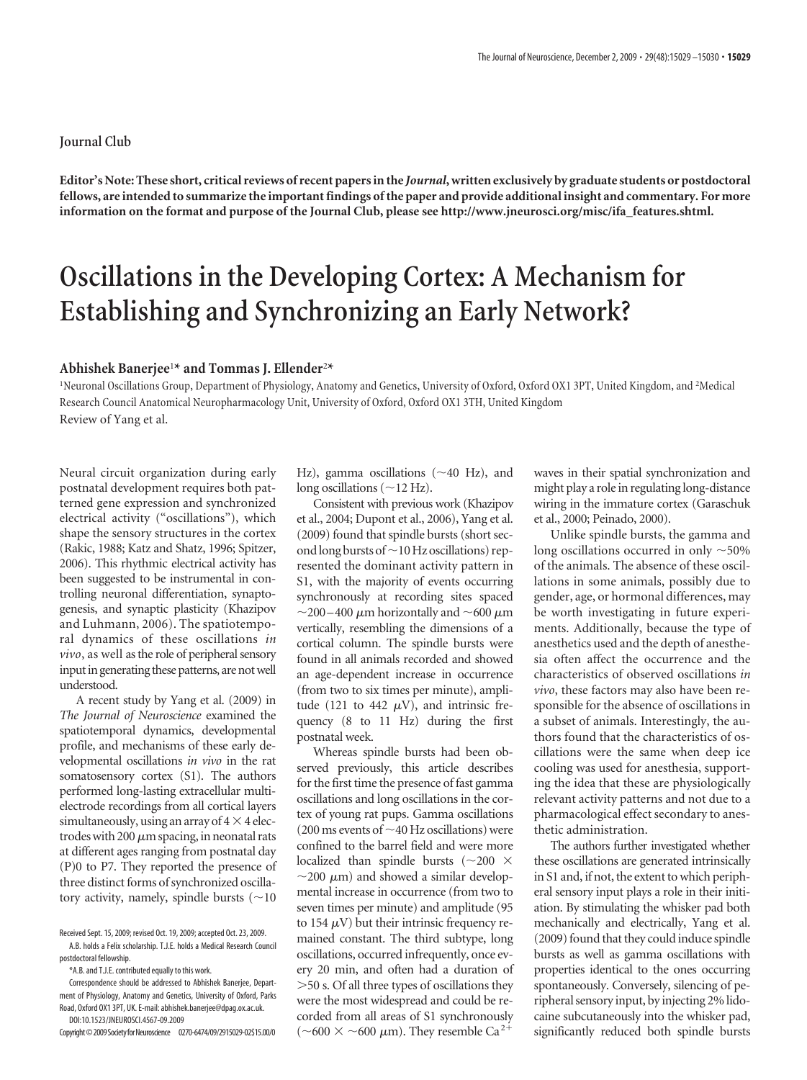## **Journal Club**

**Editor's Note: These short, critical reviews of recent papers in the** *Journal***, written exclusively by graduate students or postdoctoral fellows, are intended to summarize the important findings of the paper and provide additional insight and commentary. For more information on the format and purpose of the Journal Club, please see http://www.jneurosci.org/misc/ifa\_features.shtml.**

## **Oscillations in the Developing Cortex: A Mechanism for Establishing and Synchronizing an Early Network?**

## **Abhishek Banerjee**<sup>1</sup> **\* and Tommas J. Ellender**<sup>2</sup> **\***

<sup>1</sup>Neuronal Oscillations Group, Department of Physiology, Anatomy and Genetics, University of Oxford, Oxford OX1 3PT, United Kingdom, and <sup>2</sup>Medical Research Council Anatomical Neuropharmacology Unit, University of Oxford, Oxford OX1 3TH, United Kingdom Review of Yang et al.

Neural circuit organization during early postnatal development requires both patterned gene expression and synchronized electrical activity ("oscillations"), which shape the sensory structures in the cortex (Rakic, 1988; Katz and Shatz, 1996; Spitzer, 2006). This rhythmic electrical activity has been suggested to be instrumental in controlling neuronal differentiation, synaptogenesis, and synaptic plasticity (Khazipov and Luhmann, 2006). The spatiotemporal dynamics of these oscillations *in vivo*, as well as the role of peripheral sensory input in generating these patterns, are not well understood.

A recent study by Yang et al. (2009) in *The Journal of Neuroscience* examined the spatiotemporal dynamics, developmental profile, and mechanisms of these early developmental oscillations *in vivo* in the rat somatosensory cortex (S1). The authors performed long-lasting extracellular multielectrode recordings from all cortical layers simultaneously, using an array of  $4 \times 4$  electrodes with 200  $\mu$ m spacing, in neonatal rats at different ages ranging from postnatal day (P)0 to P7. They reported the presence of three distinct forms of synchronized oscillatory activity, namely, spindle bursts  $(\sim]10$ 

postdoctoral fellowship. \*A.B. and T.J.E. contributed equally to this work.

Correspondence should be addressed to Abhishek Banerjee, Depart-

ment of Physiology, Anatomy and Genetics, University of Oxford, Parks Road, Oxford OX1 3PT, UK. E-mail: abhishek.banerjee@dpag.ox.ac.uk. DOI:10.1523/JNEUROSCI.4567-09.2009

Hz), gamma oscillations  $({\sim}40$  Hz), and long oscillations ( $\sim$  12 Hz).

Consistent with previous work (Khazipov et al., 2004; Dupont et al., 2006), Yang et al. (2009) found that spindle bursts (short second long bursts of  $\sim$  10 Hz oscillations) represented the dominant activity pattern in S1, with the majority of events occurring synchronously at recording sites spaced ~200–400  $\mu$ m horizontally and ~600  $\mu$ m vertically, resembling the dimensions of a cortical column. The spindle bursts were found in all animals recorded and showed an age-dependent increase in occurrence (from two to six times per minute), amplitude (121 to 442  $\mu$ V), and intrinsic frequency (8 to 11 Hz) during the first postnatal week.

Whereas spindle bursts had been observed previously, this article describes for the first time the presence of fast gamma oscillations and long oscillations in the cortex of young rat pups. Gamma oscillations (200 ms events of  $\sim$  40 Hz oscillations) were confined to the barrel field and were more localized than spindle bursts ( $\sim$ 200  $\times$  $\sim$ 200  $\mu$ m) and showed a similar developmental increase in occurrence (from two to seven times per minute) and amplitude (95 to 154  $\mu$ V) but their intrinsic frequency remained constant. The third subtype, long oscillations, occurred infrequently, once every 20 min, and often had a duration of 50 s. Of all three types of oscillations they were the most widespread and could be recorded from all areas of S1 synchronously ( $\sim$  600  $\times$   $\sim$  600  $\mu$ m). They resemble Ca<sup>2+</sup>

waves in their spatial synchronization and might play a role in regulating long-distance wiring in the immature cortex (Garaschuk et al., 2000; Peinado, 2000).

Unlike spindle bursts, the gamma and long oscillations occurred in only  ${\sim}50\%$ of the animals. The absence of these oscillations in some animals, possibly due to gender, age, or hormonal differences, may be worth investigating in future experiments. Additionally, because the type of anesthetics used and the depth of anesthesia often affect the occurrence and the characteristics of observed oscillations *in vivo*, these factors may also have been responsible for the absence of oscillations in a subset of animals. Interestingly, the authors found that the characteristics of oscillations were the same when deep ice cooling was used for anesthesia, supporting the idea that these are physiologically relevant activity patterns and not due to a pharmacological effect secondary to anesthetic administration.

The authors further investigated whether these oscillations are generated intrinsically in S1 and, if not, the extent to which peripheral sensory input plays a role in their initiation. By stimulating the whisker pad both mechanically and electrically, Yang et al.  $(2009)$  found that they could induce spindle bursts as well as gamma oscillations with properties identical to the ones occurring spontaneously. Conversely, silencing of peripheral sensory input, by injecting 2% lidocaine subcutaneously into the whisker pad, significantly reduced both spindle bursts

Received Sept. 15, 2009; revised Oct. 19, 2009; accepted Oct. 23, 2009. A.B. holds a Felix scholarship. T.J.E. holds a Medical Research Council

Copyright©2009SocietyforNeuroscience 0270-6474/09/2915029-02\$15.00/0